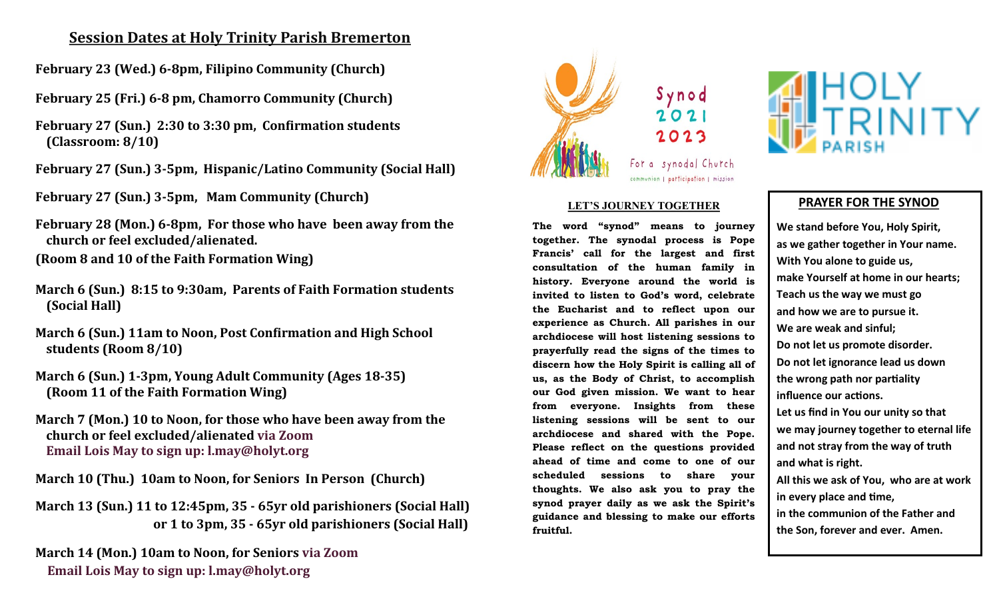## **Session Dates at Holy Trinity Parish Bremerton**

- **February 23 (Wed.) 6-8pm, Filipino Community (Church)**
- **February 25 (Fri.) 6-8 pm, Chamorro Community (Church)**
- **February 27 (Sun.) 2:30 to 3:30 pm, Confirmation students (Classroom: 8/10)**
- **February 27 (Sun.) 3-5pm, Hispanic/Latino Community (Social Hall)**
- **February 27 (Sun.) 3-5pm, Mam Community (Church)**
- **February 28 (Mon.) 6-8pm, For those who have been away from the church or feel excluded/alienated.**
- **(Room 8 and 10 of the Faith Formation Wing)**
- **March 6 (Sun.) 8:15 to 9:30am, Parents of Faith Formation students (Social Hall)**
- **March 6 (Sun.) 11am to Noon, Post Confirmation and High School students (Room 8/10)**
- **March 6 (Sun.) 1-3pm, Young Adult Community (Ages 18-35) (Room 11 of the Faith Formation Wing)**
- **March 7 (Mon.) 10 to Noon, for those who have been away from the church or feel excluded/alienated via Zoom Email Lois May to sign up: l.may@holyt.org**
- **March 10 (Thu.) 10am to Noon, for Seniors In Person (Church)**
- **March 13 (Sun.) 11 to 12:45pm, 35 - 65yr old parishioners (Social Hall) or 1 to 3pm, 35 - 65yr old parishioners (Social Hall)**

**March 14 (Mon.) 10am to Noon, for Seniors via Zoom Email Lois May to sign up: l.may@holyt.org** 



For a synodal Church communion | participation | mission

## **LET'S JOURNEY TOGETHER**

**The word "synod" means to journey together. The synodal process is Pope Francis' call for the largest and first consultation of the human family in history. Everyone around the world is invited to listen to God's word, celebrate the Eucharist and to reflect upon our experience as Church. All parishes in our archdiocese will host listening sessions to prayerfully read the signs of the times to discern how the Holy Spirit is calling all of us, as the Body of Christ, to accomplish our God given mission. We want to hear from everyone. Insights from these listening sessions will be sent to our archdiocese and shared with the Pope. Please reflect on the questions provided ahead of time and come to one of our scheduled sessions to share your thoughts. We also ask you to pray the synod prayer daily as we ask the Spirit's guidance and blessing to make our efforts fruitful.**



## **PRAYER FOR THE SYNOD**

**We stand before You, Holy Spirit, as we gather together in Your name. With You alone to guide us, make Yourself at home in our hearts; Teach us the way we must go and how we are to pursue it. We are weak and sinful; Do not let us promote disorder. Do not let ignorance lead us down the wrong path nor partiality influence our actions. Let us find in You our unity so that we may journey together to eternal life and not stray from the way of truth and what is right. All this we ask of You, who are at work in every place and time, in the communion of the Father and the Son, forever and ever. Amen.**